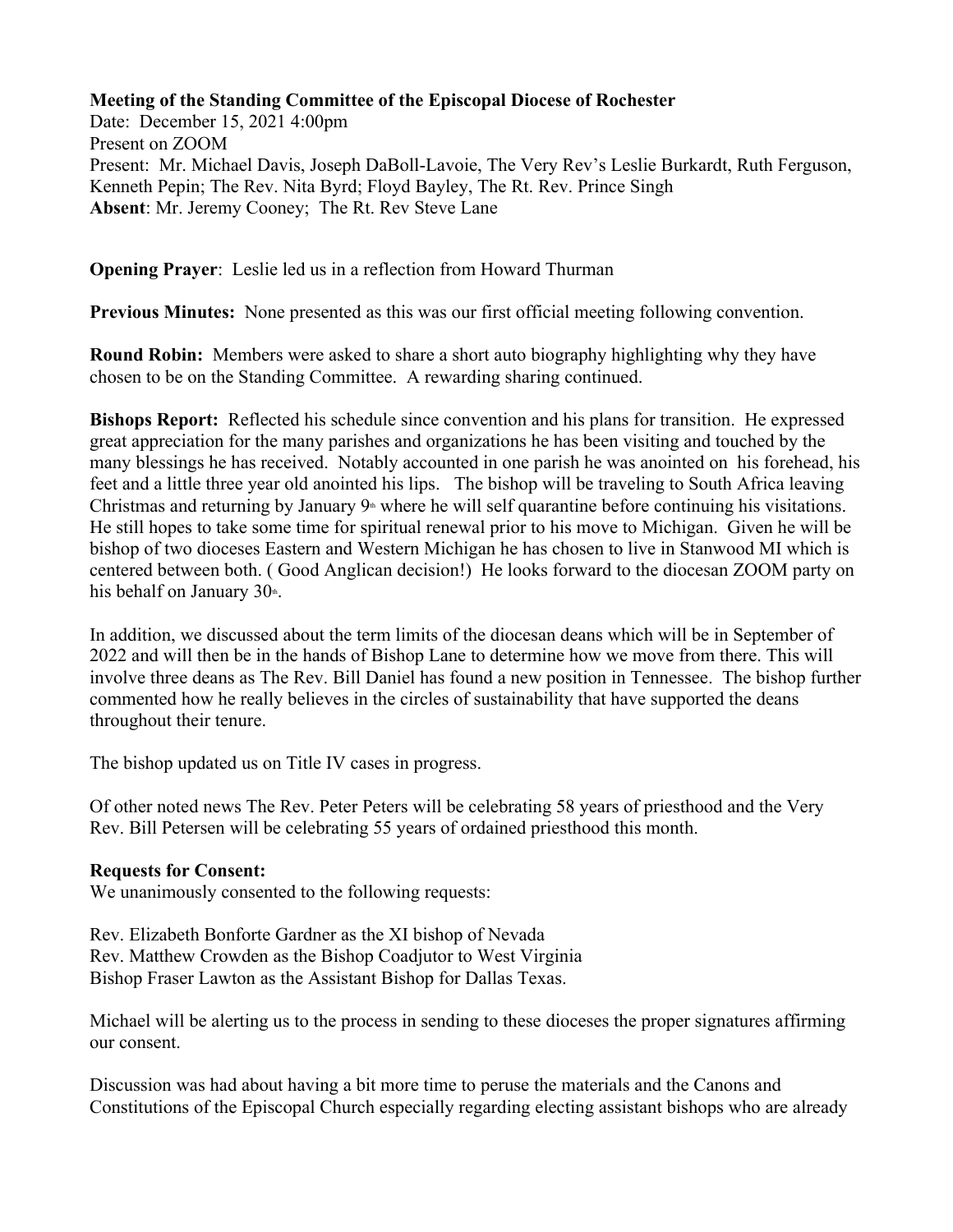## **Meeting of the Standing Committee of the Episcopal Diocese of Rochester**

Date: December 15, 2021 4:00pm Present on ZOOM Present: Mr. Michael Davis, Joseph DaBoll-Lavoie, The Very Rev's Leslie Burkardt, Ruth Ferguson, Kenneth Pepin; The Rev. Nita Byrd; Floyd Bayley, The Rt. Rev. Prince Singh **Absent**: Mr. Jeremy Cooney; The Rt. Rev Steve Lane

**Opening Prayer**: Leslie led us in a reflection from Howard Thurman

**Previous Minutes:** None presented as this was our first official meeting following convention.

**Round Robin:** Members were asked to share a short auto biography highlighting why they have chosen to be on the Standing Committee. A rewarding sharing continued.

**Bishops Report:** Reflected his schedule since convention and his plans for transition. He expressed great appreciation for the many parishes and organizations he has been visiting and touched by the many blessings he has received. Notably accounted in one parish he was anointed on his forehead, his feet and a little three year old anointed his lips. The bishop will be traveling to South Africa leaving Christmas and returning by January  $9<sup>th</sup>$  where he will self quarantine before continuing his visitations. He still hopes to take some time for spiritual renewal prior to his move to Michigan. Given he will be bishop of two dioceses Eastern and Western Michigan he has chosen to live in Stanwood MI which is centered between both. ( Good Anglican decision!) He looks forward to the diocesan ZOOM party on his behalf on January  $30<sup>th</sup>$ .

In addition, we discussed about the term limits of the diocesan deans which will be in September of 2022 and will then be in the hands of Bishop Lane to determine how we move from there. This will involve three deans as The Rev. Bill Daniel has found a new position in Tennessee. The bishop further commented how he really believes in the circles of sustainability that have supported the deans throughout their tenure.

The bishop updated us on Title IV cases in progress.

Of other noted news The Rev. Peter Peters will be celebrating 58 years of priesthood and the Very Rev. Bill Petersen will be celebrating 55 years of ordained priesthood this month.

## **Requests for Consent:**

We unanimously consented to the following requests:

Rev. Elizabeth Bonforte Gardner as the XI bishop of Nevada Rev. Matthew Crowden as the Bishop Coadjutor to West Virginia Bishop Fraser Lawton as the Assistant Bishop for Dallas Texas.

Michael will be alerting us to the process in sending to these dioceses the proper signatures affirming our consent.

Discussion was had about having a bit more time to peruse the materials and the Canons and Constitutions of the Episcopal Church especially regarding electing assistant bishops who are already